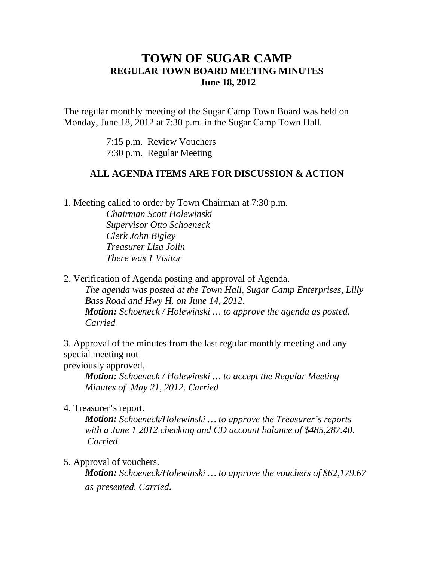# **TOWN OF SUGAR CAMP REGULAR TOWN BOARD MEETING MINUTES June 18, 2012**

The regular monthly meeting of the Sugar Camp Town Board was held on Monday, June 18, 2012 at 7:30 p.m. in the Sugar Camp Town Hall.

> 7:15 p.m. Review Vouchers 7:30 p.m. Regular Meeting

## **ALL AGENDA ITEMS ARE FOR DISCUSSION & ACTION**

1. Meeting called to order by Town Chairman at 7:30 p.m.

*Chairman Scott Holewinski Supervisor Otto Schoeneck Clerk John Bigley Treasurer Lisa Jolin There was 1 Visitor*

2. Verification of Agenda posting and approval of Agenda. *The agenda was posted at the Town Hall, Sugar Camp Enterprises, Lilly Bass Road and Hwy H. on June 14, 2012. Motion: Schoeneck / Holewinski … to approve the agenda as posted. Carried*

3. Approval of the minutes from the last regular monthly meeting and any special meeting not

previously approved.

*Motion: Schoeneck / Holewinski … to accept the Regular Meeting Minutes of May 21, 2012. Carried*

4. Treasurer's report.

*Motion: Schoeneck/Holewinski … to approve the Treasurer's reports with a June 1 2012 checking and CD account balance of \$485,287.40. Carried*

5. Approval of vouchers.

*Motion: Schoeneck/Holewinski … to approve the vouchers of \$62,179.67 as presented. Carried.*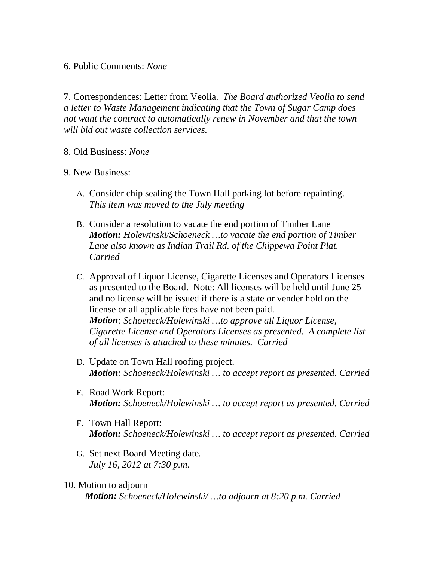### 6. Public Comments: *None*

7. Correspondences: Letter from Veolia. *The Board authorized Veolia to send a letter to Waste Management indicating that the Town of Sugar Camp does not want the contract to automatically renew in November and that the town will bid out waste collection services.*

#### 8. Old Business: *None*

#### 9. New Business:

- A. Consider chip sealing the Town Hall parking lot before repainting. *This item was moved to the July meeting*
- B. Consider a resolution to vacate the end portion of Timber Lane *Motion: Holewinski/Schoeneck …to vacate the end portion of Timber Lane also known as Indian Trail Rd. of the Chippewa Point Plat. Carried*
- C. Approval of Liquor License, Cigarette Licenses and Operators Licenses as presented to the Board. Note: All licenses will be held until June 25 and no license will be issued if there is a state or vender hold on the license or all applicable fees have not been paid. *Motion: Schoeneck/Holewinski …to approve all Liquor License, Cigarette License and Operators Licenses as presented. A complete list of all licenses is attached to these minutes. Carried*
- D. Update on Town Hall roofing project. *Motion: Schoeneck/Holewinski … to accept report as presented. Carried*
- E. Road Work Report: *Motion: Schoeneck/Holewinski … to accept report as presented. Carried*
- F. Town Hall Report: *Motion: Schoeneck/Holewinski … to accept report as presented. Carried*
- G. Set next Board Meeting date*. July 16, 2012 at 7:30 p.m.*
- 10. Motion to adjourn *Motion: Schoeneck/Holewinski/ …to adjourn at 8:20 p.m. Carried*